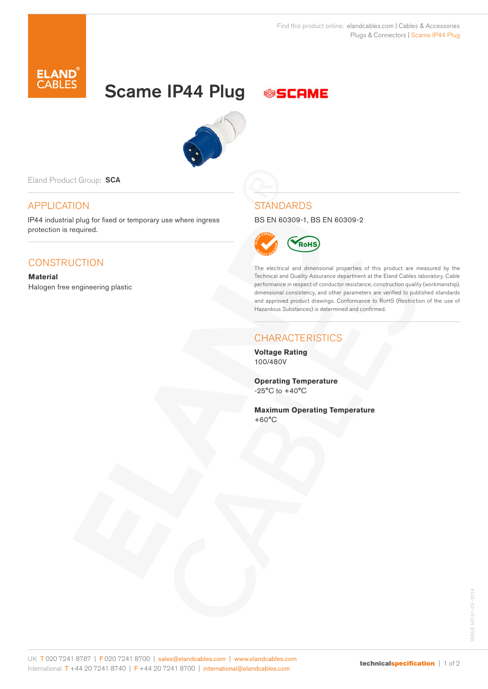# Scame IP44 Plug





Eland Product Group: SCA

# APPLICATION

IP44 industrial plug for fixed or temporary use where ingress protection is required.

# **CONSTRUCTION**

**Material** Halogen free engineering plastic

## **STANDARDS**

BS EN 60309-1, BS EN 60309-2



The electrical and dimensional properties of this product are measured by the Technical and Quality Assurance department at the Eland Cables laboratory. Cable performance in respect of conductor resistance, construction quality (workmanship), dimensional consistency, and other parameters are verified to published standards and approved product drawings. Conformance to RoHS (Restriction of the use of Hazardous Substances) is determined and confirmed.

## **CHARACTERISTICS**

**Voltage Rating** 100/480V

**Operating Temperature**  $-25^{\circ}$ C to  $+40^{\circ}$ C

**Maximum Operating Temperature** +60°C